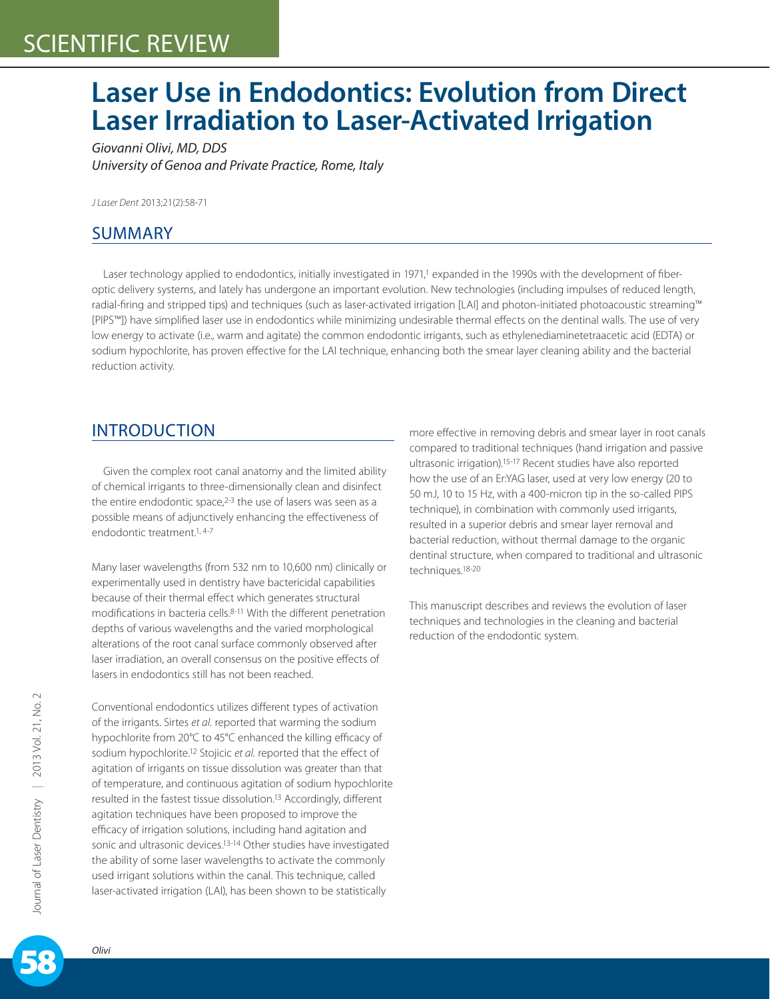# **Laser Use in Endodontics: Evolution from Direct Laser Irradiation to Laser-Activated Irrigation**

*Giovanni Olivi, MD, DDS University of Genoa and Private Practice, Rome, Italy*

*J Laser Dent* 2013;21(2):58-71

### SUMMARY

Laser technology applied to endodontics, initially investigated in 1971,<sup>1</sup> expanded in the 1990s with the development of fiberoptic delivery systems, and lately has undergone an important evolution. New technologies (including impulses of reduced length, radial-firing and stripped tips) and techniques (such as laser-activated irrigation [LAI] and photon-initiated photoacoustic streaming™ [PIPS™]) have simplified laser use in endodontics while minimizing undesirable thermal effects on the dentinal walls. The use of very low energy to activate (i.e., warm and agitate) the common endodontic irrigants, such as ethylenediaminetetraacetic acid (EDTA) or sodium hypochlorite, has proven effective for the LAI technique, enhancing both the smear layer cleaning ability and the bacterial reduction activity.

### INTRODUCTION

Given the complex root canal anatomy and the limited ability of chemical irrigants to three-dimensionally clean and disinfect the entire endodontic space, $2-3$  the use of lasers was seen as a possible means of adjunctively enhancing the effectiveness of endodontic treatment.<sup>1, 4-7</sup>

Many laser wavelengths (from 532 nm to 10,600 nm) clinically or experimentally used in dentistry have bactericidal capabilities because of their thermal effect which generates structural modifications in bacteria cells.8-11 With the different penetration depths of various wavelengths and the varied morphological alterations of the root canal surface commonly observed after laser irradiation, an overall consensus on the positive effects of lasers in endodontics still has not been reached.

Conventional endodontics utilizes different types of activation of the irrigants. Sirtes *et al.* reported that warming the sodium hypochlorite from 20°C to 45°C enhanced the killing efficacy of sodium hypochlorite.12 Stojicic *et al.* reported that the effect of agitation of irrigants on tissue dissolution was greater than that of temperature, and continuous agitation of sodium hypochlorite resulted in the fastest tissue dissolution.13 Accordingly, different agitation techniques have been proposed to improve the efficacy of irrigation solutions, including hand agitation and sonic and ultrasonic devices.<sup>13-14</sup> Other studies have investigated the ability of some laser wavelengths to activate the commonly used irrigant solutions within the canal. This technique, called laser-activated irrigation (LAI), has been shown to be statistically

more effective in removing debris and smear layer in root canals compared to traditional techniques (hand irrigation and passive ultrasonic irrigation).15-17 Recent studies have also reported how the use of an Er:YAG laser, used at very low energy (20 to 50 mJ, 10 to 15 Hz, with a 400-micron tip in the so-called PIPS technique), in combination with commonly used irrigants, resulted in a superior debris and smear layer removal and bacterial reduction, without thermal damage to the organic dentinal structure, when compared to traditional and ultrasonic techniques.18-20

This manuscript describes and reviews the evolution of laser techniques and technologies in the cleaning and bacterial reduction of the endodontic system.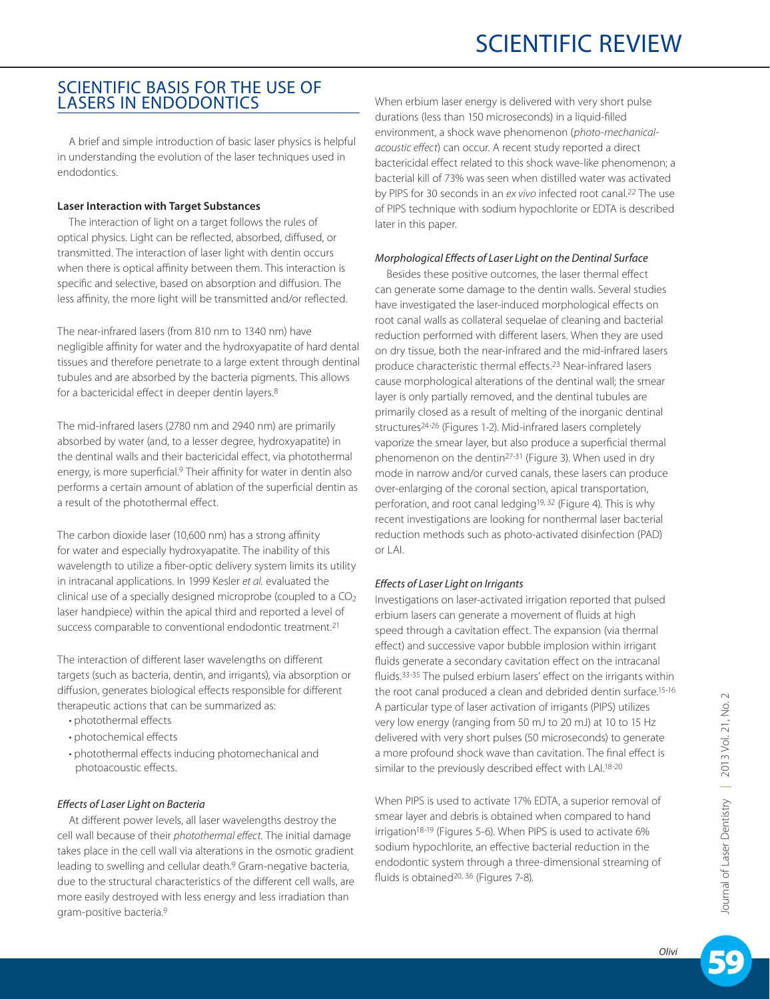### SCIENTIFIC BASIS FOR THE USE OF LASERS IN ENDODONTICS

A brief and simple introduction of basic laser physics is helpful in understanding the evolution of the laser techniques used in endodontics.

#### **Laser Interaction with Target Substances**

The interaction of light on a target follows the rules of optical physics. Light can be reflected, absorbed, diffused, or transmitted. The interaction of laser light with dentin occurs when there is optical affinity between them. This interaction is specific and selective, based on absorption and diffusion. The less affinity, the more light will be transmitted and/or reflected.

The near-infrared lasers (from 810 nm to 1340 nm) have negligible affinity for water and the hydroxyapatite of hard dental tissues and therefore penetrate to a large extent through dentinal tubules and are absorbed by the bacteria pigments. This allows for a bactericidal effect in deeper dentin layers.8

The mid-infrared lasers (2780 nm and 2940 nm) are primarily absorbed by water (and, to a lesser degree, hydroxyapatite) in the dentinal walls and their bactericidal effect, via photothermal energy, is more superficial.<sup>9</sup> Their affinity for water in dentin also performs a certain amount of ablation of the superficial dentin as a result of the photothermal effect.

The carbon dioxide laser (10,600 nm) has a strong affinity for water and especially hydroxyapatite. The inability of this wavelength to utilize a fiber-optic delivery system limits its utility in intracanal applications. In 1999 Kesler *et al.* evaluated the clinical use of a specially designed microprobe (coupled to a  $CO<sub>2</sub>$ laser handpiece) within the apical third and reported a level of success comparable to conventional endodontic treatment.<sup>21</sup>

The interaction of different laser wavelengths on different targets (such as bacteria, dentin, and irrigants), via absorption or diffusion, generates biological effects responsible for different therapeutic actions that can be summarized as:

- photothermal effects
- photochemical effects
- photothermal effects inducing photomechanical and photoacoustic effects.

#### *Effects of Laser Light on Bacteria*

At different power levels, all laser wavelengths destroy the cell wall because of their *photothermal effect.* The initial damage takes place in the cell wall via alterations in the osmotic gradient leading to swelling and cellular death.9 Gram-negative bacteria, due to the structural characteristics of the different cell walls, are more easily destroyed with less energy and less irradiation than gram-positive bacteria.9

When erbium laser energy is delivered with very short pulse durations (less than 150 microseconds) in a liquid-filled environment, a shock wave phenomenon (*photo-mechanicalacoustic effect*) can occur. A recent study reported a direct bactericidal effect related to this shock wave-like phenomenon; a bacterial kill of 73% was seen when distilled water was activated by PIPS for 30 seconds in an *ex vivo* infected root canal.22 The use of PIPS technique with sodium hypochlorite or EDTA is described later in this paper.

#### *Morphological Effects of Laser Light on the Dentinal Surface*

Besides these positive outcomes, the laser thermal effect can generate some damage to the dentin walls. Several studies have investigated the laser-induced morphological effects on root canal walls as collateral sequelae of cleaning and bacterial reduction performed with different lasers. When they are used on dry tissue, both the near-infrared and the mid-infrared lasers produce characteristic thermal effects.23 Near-infrared lasers cause morphological alterations of the dentinal wall; the smear layer is only partially removed, and the dentinal tubules are primarily closed as a result of melting of the inorganic dentinal structures24-26 (Figures 1-2). Mid-infrared lasers completely vaporize the smear layer, but also produce a superficial thermal phenomenon on the dentin27-31 (Figure 3). When used in dry mode in narrow and/or curved canals, these lasers can produce over-enlarging of the coronal section, apical transportation, perforation, and root canal ledging<sup>19, 32</sup> (Figure 4). This is why recent investigations are looking for nonthermal laser bacterial reduction methods such as photo-activated disinfection (PAD) or  $|$  Al.

#### *Effects of Laser Light on Irrigants*

Investigations on laser-activated irrigation reported that pulsed erbium lasers can generate a movement of fluids at high speed through a cavitation effect. The expansion (via thermal effect) and successive vapor bubble implosion within irrigant fluids generate a secondary cavitation effect on the intracanal fluids.33-35 The pulsed erbium lasers' effect on the irrigants within the root canal produced a clean and debrided dentin surface.<sup>15-16</sup> A particular type of laser activation of irrigants (PIPS) utilizes very low energy (ranging from 50 mJ to 20 mJ) at 10 to 15 Hz delivered with very short pulses (50 microseconds) to generate a more profound shock wave than cavitation. The final effect is similar to the previously described effect with LAI.18-20

When PIPS is used to activate 17% EDTA, a superior removal of smear layer and debris is obtained when compared to hand irrigation18-19 (Figures 5-6). When PIPS is used to activate 6% sodium hypochlorite, an effective bacterial reduction in the endodontic system through a three-dimensional streaming of fluids is obtained<sup>20, 36</sup> (Figures 7-8).

59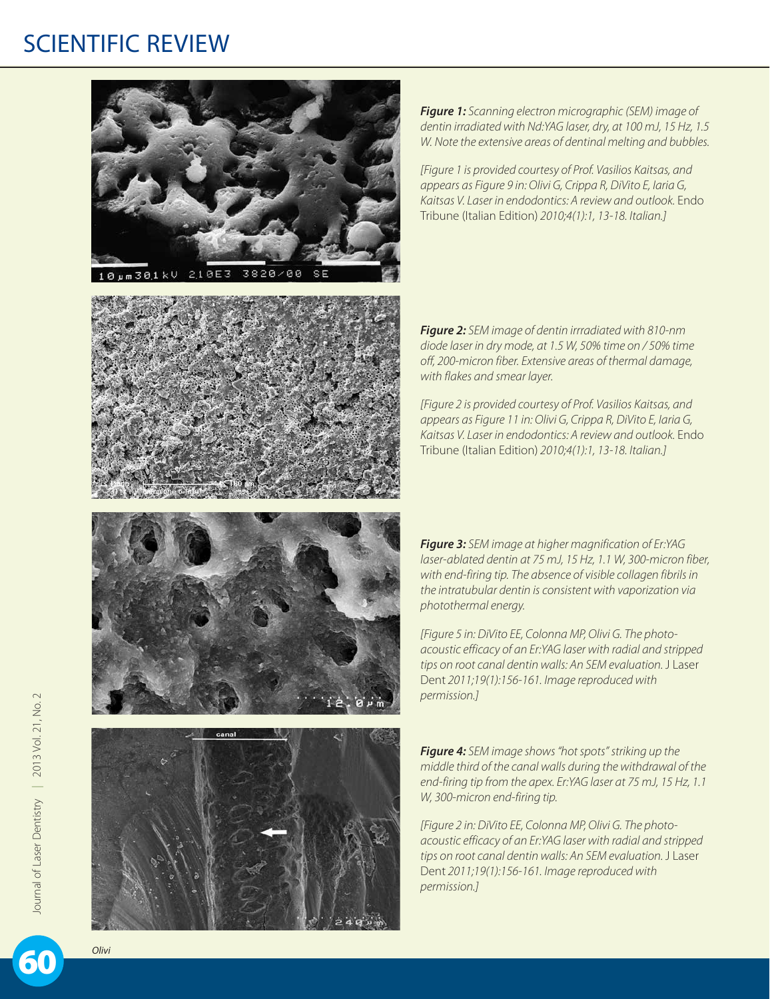







*Figure 1: Scanning electron micrographic (SEM) image of dentin irradiated with Nd:YAG laser, dry, at 100 mJ, 15 Hz, 1.5 W. Note the extensive areas of dentinal melting and bubbles.*

*[Figure 1 is provided courtesy of Prof. Vasilios Kaitsas, and appears as Figure 9 in: Olivi G, Crippa R, DiVito E, Iaria G, Kaitsas V. Laser in endodontics: A review and outlook.* Endo Tribune (Italian Edition) *2010;4(1):1, 13-18. Italian.]*

*Figure 2: SEM image of dentin irrradiated with 810-nm diode laser in dry mode, at 1.5 W, 50% time on / 50% time off, 200-micron fiber. Extensive areas of thermal damage, with flakes and smear layer.*

*[Figure 2 is provided courtesy of Prof. Vasilios Kaitsas, and appears as Figure 11 in: Olivi G, Crippa R, DiVito E, Iaria G, Kaitsas V. Laser in endodontics: A review and outlook.* Endo Tribune (Italian Edition) *2010;4(1):1, 13-18. Italian.]*

*Figure 3: SEM image at higher magnification of Er:YAG laser-ablated dentin at 75 mJ, 15 Hz, 1.1 W, 300-micron fiber, with end-firing tip. The absence of visible collagen fibrils in the intratubular dentin is consistent with vaporization via photothermal energy.*

*[Figure 5 in: DiVito EE, Colonna MP, Olivi G. The photoacoustic efficacy of an Er:YAG laser with radial and stripped tips on root canal dentin walls: An SEM evaluation.* J Laser Dent *2011;19(1):156-161. Image reproduced with permission.]*

*Figure 4: SEM image shows "hot spots" striking up the middle third of the canal walls during the withdrawal of the end-firing tip from the apex. Er:YAG laser at 75 mJ, 15 Hz, 1.1 W, 300-micron end-firing tip.*

*[Figure 2 in: DiVito EE, Colonna MP, Olivi G. The photoacoustic efficacy of an Er:YAG laser with radial and stripped tips on root canal dentin walls: An SEM evaluation.* J Laser Dent *2011;19(1):156-161. Image reproduced with permission.]*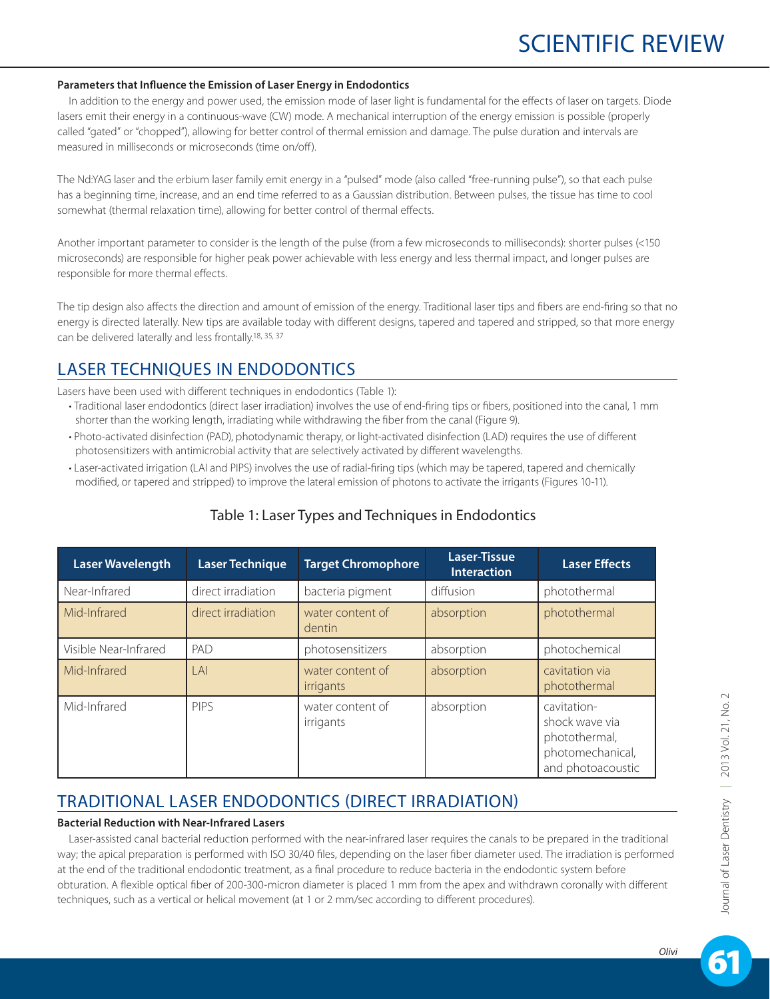#### **Parameters that Influence the Emission of Laser Energy in Endodontics**

In addition to the energy and power used, the emission mode of laser light is fundamental for the effects of laser on targets. Diode lasers emit their energy in a continuous-wave (CW) mode. A mechanical interruption of the energy emission is possible (properly called "gated" or "chopped"), allowing for better control of thermal emission and damage. The pulse duration and intervals are measured in milliseconds or microseconds (time on/off).

The Nd:YAG laser and the erbium laser family emit energy in a "pulsed" mode (also called "free-running pulse"), so that each pulse has a beginning time, increase, and an end time referred to as a Gaussian distribution. Between pulses, the tissue has time to cool somewhat (thermal relaxation time), allowing for better control of thermal effects.

Another important parameter to consider is the length of the pulse (from a few microseconds to milliseconds): shorter pulses (<150 microseconds) are responsible for higher peak power achievable with less energy and less thermal impact, and longer pulses are responsible for more thermal effects.

The tip design also affects the direction and amount of emission of the energy. Traditional laser tips and fibers are end-firing so that no energy is directed laterally. New tips are available today with different designs, tapered and tapered and stripped, so that more energy can be delivered laterally and less frontally.18, 35, 37

### LASER TECHNIQUES IN ENDODONTICS

Lasers have been used with different techniques in endodontics (Table 1):

- Traditional laser endodontics (direct laser irradiation) involves the use of end-firing tips or fibers, positioned into the canal, 1 mm shorter than the working length, irradiating while withdrawing the fiber from the canal (Figure 9).
- Photo-activated disinfection (PAD), photodynamic therapy, or light-activated disinfection (LAD) requires the use of different photosensitizers with antimicrobial activity that are selectively activated by different wavelengths.
- Laser-activated irrigation (LAI and PIPS) involves the use of radial-firing tips (which may be tapered, tapered and chemically modified, or tapered and stripped) to improve the lateral emission of photons to activate the irrigants (Figures 10-11).

| <b>Laser Wavelength</b> | <b>Laser Technique</b> | <b>Target Chromophore</b>            | Laser-Tissue<br><b>Interaction</b> | <b>Laser Effects</b>                                                                    |
|-------------------------|------------------------|--------------------------------------|------------------------------------|-----------------------------------------------------------------------------------------|
| Near-Infrared           | direct irradiation     | bacteria pigment                     | diffusion                          | photothermal                                                                            |
| Mid-Infrared            | direct irradiation     | water content of<br>dentin           | absorption                         | photothermal                                                                            |
| Visible Near-Infrared   | PAD                    | photosensitizers                     | absorption                         | photochemical                                                                           |
| Mid-Infrared            | A                      | water content of<br><i>irrigants</i> | absorption                         | cavitation via<br>photothermal                                                          |
| Mid-Infrared            | <b>PIPS</b>            | water content of<br>irrigants        | absorption                         | cavitation-<br>shock wave via<br>photothermal,<br>photomechanical,<br>and photoacoustic |

### Table 1: Laser Types and Techniques in Endodontics

### TRADITIONAL LASER ENDODONTICS (DIRECT IRRADIATION)

#### **Bacterial Reduction with Near-Infrared Lasers**

Laser-assisted canal bacterial reduction performed with the near-infrared laser requires the canals to be prepared in the traditional way; the apical preparation is performed with ISO 30/40 files, depending on the laser fiber diameter used. The irradiation is performed at the end of the traditional endodontic treatment, as a final procedure to reduce bacteria in the endodontic system before obturation. A flexible optical fiber of 200-300-micron diameter is placed 1 mm from the apex and withdrawn coronally with different techniques, such as a vertical or helical movement (at 1 or 2 mm/sec according to different procedures).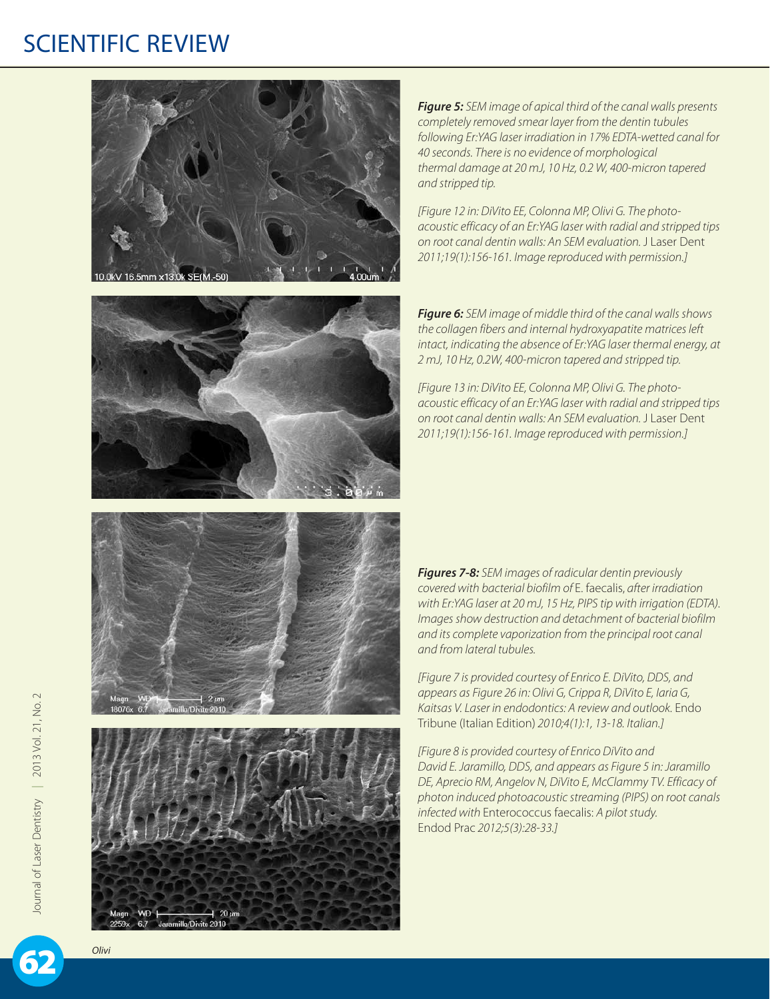



*Figure 5: SEM image of apical third of the canal walls presents completely removed smear layer from the dentin tubules following Er:YAG laser irradiation in 17% EDTA-wetted canal for 40 seconds. There is no evidence of morphological thermal damage at 20 mJ, 10 Hz, 0.2 W, 400-micron tapered and stripped tip.*

*[Figure 12 in: DiVito EE, Colonna MP, Olivi G. The photoacoustic efficacy of an Er:YAG laser with radial and stripped tips on root canal dentin walls: An SEM evaluation.* J Laser Dent *2011;19(1):156-161. Image reproduced with permission.]*

*Figure 6: SEM image of middle third of the canal walls shows the collagen fibers and internal hydroxyapatite matrices left intact, indicating the absence of Er:YAG laser thermal energy, at 2 mJ, 10 Hz, 0.2W, 400-micron tapered and stripped tip.*

*[Figure 13 in: DiVito EE, Colonna MP, Olivi G. The photoacoustic efficacy of an Er:YAG laser with radial and stripped tips on root canal dentin walls: An SEM evaluation.* J Laser Dent *2011;19(1):156-161. Image reproduced with permission.]*





*Figures 7-8: SEM images of radicular dentin previously covered with bacterial biofilm of* E. faecalis, *after irradiation with Er:YAG laser at 20 mJ, 15 Hz, PIPS tip with irrigation (EDTA). Images show destruction and detachment of bacterial biofilm and its complete vaporization from the principal root canal and from lateral tubules.*

*[Figure 7 is provided courtesy of Enrico E. DiVito, DDS, and appears as Figure 26 in: Olivi G, Crippa R, DiVito E, Iaria G, Kaitsas V. Laser in endodontics: A review and outlook.* Endo Tribune (Italian Edition) *2010;4(1):1, 13-18. Italian.]*

*[Figure 8 is provided courtesy of Enrico DiVito and David E. Jaramillo, DDS, and appears as Figure 5 in: Jaramillo DE, Aprecio RM, Angelov N, DiVito E, McClammy TV. Efficacy of photon induced photoacoustic streaming (PIPS) on root canals infected with* Enterococcus faecalis: *A pilot study.*  Endod Prac *2012;5(3):28-33.]*

Journal of Laser Dentistry | 2013 Vol. 21, No. 2 Journal of Laser Dentistry | 2013 Vol. 21, No.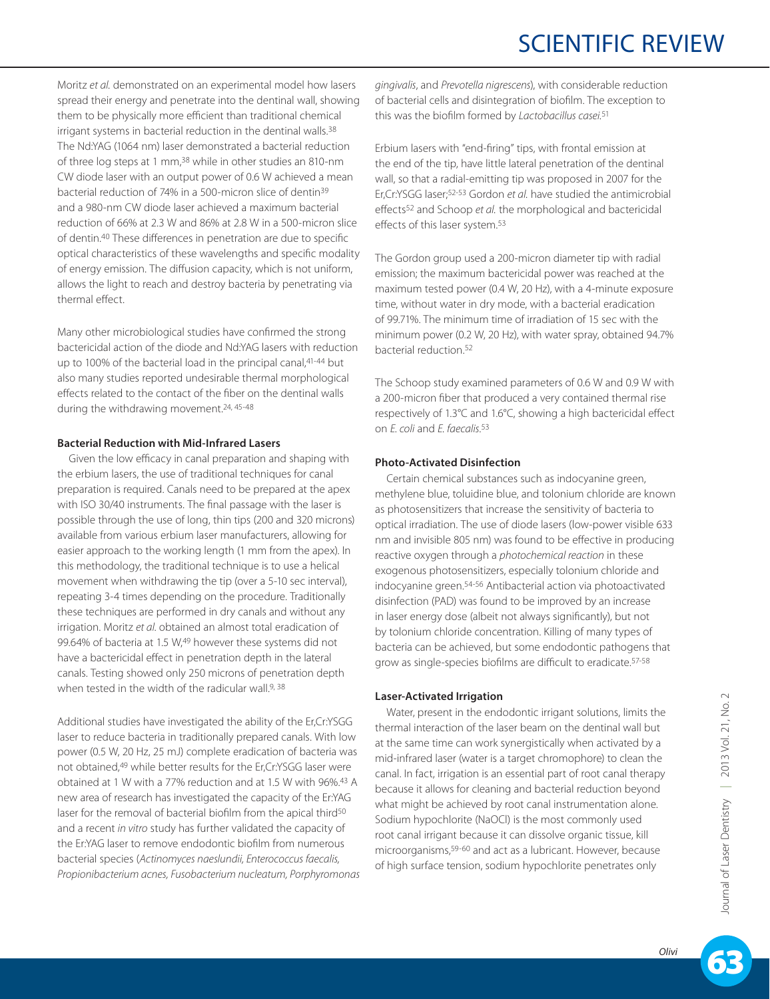Moritz *et al.* demonstrated on an experimental model how lasers spread their energy and penetrate into the dentinal wall, showing them to be physically more efficient than traditional chemical irrigant systems in bacterial reduction in the dentinal walls.<sup>38</sup> The Nd:YAG (1064 nm) laser demonstrated a bacterial reduction of three log steps at 1 mm,38 while in other studies an 810-nm CW diode laser with an output power of 0.6 W achieved a mean bacterial reduction of 74% in a 500-micron slice of dentin39 and a 980-nm CW diode laser achieved a maximum bacterial reduction of 66% at 2.3 W and 86% at 2.8 W in a 500-micron slice of dentin.40 These differences in penetration are due to specific optical characteristics of these wavelengths and specific modality of energy emission. The diffusion capacity, which is not uniform, allows the light to reach and destroy bacteria by penetrating via thermal effect.

Many other microbiological studies have confirmed the strong bactericidal action of the diode and Nd:YAG lasers with reduction up to 100% of the bacterial load in the principal canal, 41-44 but also many studies reported undesirable thermal morphological effects related to the contact of the fiber on the dentinal walls during the withdrawing movement.24, 45-48

#### **Bacterial Reduction with Mid-Infrared Lasers**

Given the low efficacy in canal preparation and shaping with the erbium lasers, the use of traditional techniques for canal preparation is required. Canals need to be prepared at the apex with ISO 30/40 instruments. The final passage with the laser is possible through the use of long, thin tips (200 and 320 microns) available from various erbium laser manufacturers, allowing for easier approach to the working length (1 mm from the apex). In this methodology, the traditional technique is to use a helical movement when withdrawing the tip (over a 5-10 sec interval), repeating 3-4 times depending on the procedure. Traditionally these techniques are performed in dry canals and without any irrigation. Moritz *et al*. obtained an almost total eradication of 99.64% of bacteria at 1.5 W,49 however these systems did not have a bactericidal effect in penetration depth in the lateral canals. Testing showed only 250 microns of penetration depth when tested in the width of the radicular wall.<sup>9, 38</sup>

Additional studies have investigated the ability of the Er,Cr:YSGG laser to reduce bacteria in traditionally prepared canals. With low power (0.5 W, 20 Hz, 25 mJ) complete eradication of bacteria was not obtained,49 while better results for the Er,Cr:YSGG laser were obtained at 1 W with a 77% reduction and at 1.5 W with 96%.43 A new area of research has investigated the capacity of the Er:YAG laser for the removal of bacterial biofilm from the apical third<sup>50</sup> and a recent *in vitro* study has further validated the capacity of the Er:YAG laser to remove endodontic biofilm from numerous bacterial species (*Actinomyces naeslundii, Enterococcus faecalis, Propionibacterium acnes, Fusobacterium nucleatum, Porphyromonas*  *gingivalis*, and *Prevotella nigrescens*), with considerable reduction of bacterial cells and disintegration of biofilm. The exception to this was the biofilm formed by *Lactobacillus casei.*51

Erbium lasers with "end-firing" tips, with frontal emission at the end of the tip, have little lateral penetration of the dentinal wall, so that a radial-emitting tip was proposed in 2007 for the Er,Cr:YSGG laser;52-53 Gordon *et al.* have studied the antimicrobial effects52 and Schoop *et al.* the morphological and bactericidal effects of this laser system.53

The Gordon group used a 200-micron diameter tip with radial emission; the maximum bactericidal power was reached at the maximum tested power (0.4 W, 20 Hz), with a 4-minute exposure time, without water in dry mode, with a bacterial eradication of 99.71%. The minimum time of irradiation of 15 sec with the minimum power (0.2 W, 20 Hz), with water spray, obtained 94.7% bacterial reduction.52

The Schoop study examined parameters of 0.6 W and 0.9 W with a 200-micron fiber that produced a very contained thermal rise respectively of 1.3°C and 1.6°C, showing a high bactericidal effect on *E. coli* and *E. faecalis*. 53

#### **Photo-Activated Disinfection**

Certain chemical substances such as indocyanine green, methylene blue, toluidine blue, and tolonium chloride are known as photosensitizers that increase the sensitivity of bacteria to optical irradiation. The use of diode lasers (low-power visible 633 nm and invisible 805 nm) was found to be effective in producing reactive oxygen through a *photochemical reaction* in these exogenous photosensitizers, especially tolonium chloride and indocyanine green.54-56 Antibacterial action via photoactivated disinfection (PAD) was found to be improved by an increase in laser energy dose (albeit not always significantly), but not by tolonium chloride concentration. Killing of many types of bacteria can be achieved, but some endodontic pathogens that grow as single-species biofilms are difficult to eradicate.57-58

#### **Laser-Activated Irrigation**

Water, present in the endodontic irrigant solutions, limits the thermal interaction of the laser beam on the dentinal wall but at the same time can work synergistically when activated by a mid-infrared laser (water is a target chromophore) to clean the canal. In fact, irrigation is an essential part of root canal therapy because it allows for cleaning and bacterial reduction beyond what might be achieved by root canal instrumentation alone. Sodium hypochlorite (NaOCl) is the most commonly used root canal irrigant because it can dissolve organic tissue, kill microorganisms,59-60 and act as a lubricant. However, because of high surface tension, sodium hypochlorite penetrates only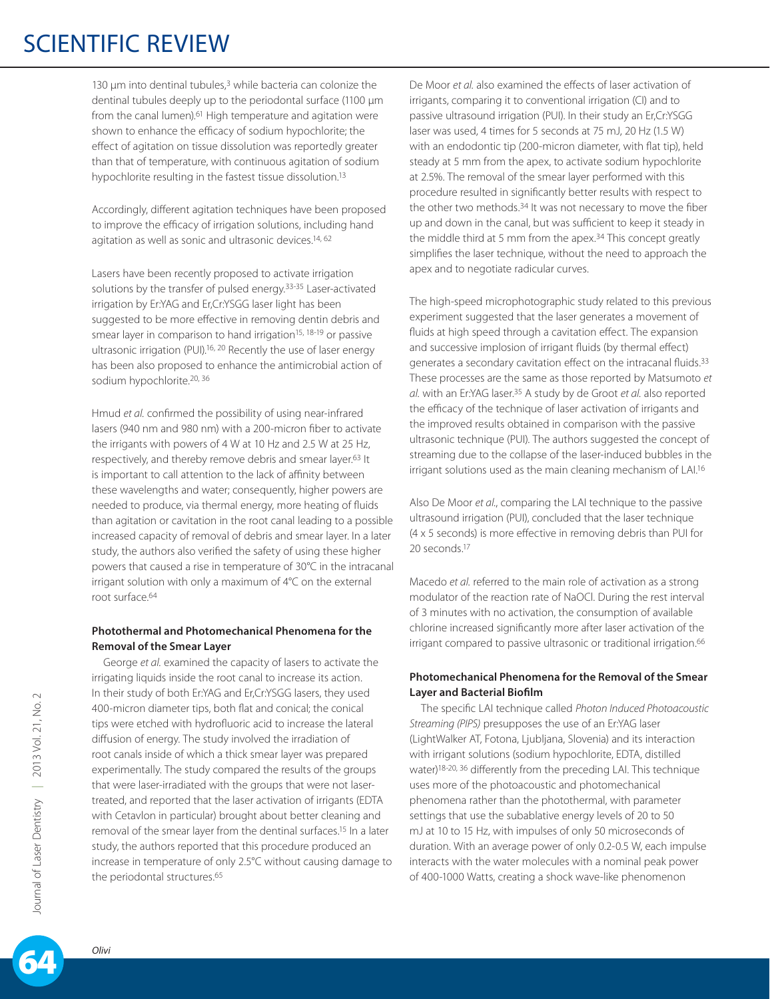130  $\mu$ m into dentinal tubules, $3$  while bacteria can colonize the dentinal tubules deeply up to the periodontal surface (1100 µm from the canal lumen).<sup>61</sup> High temperature and agitation were shown to enhance the efficacy of sodium hypochlorite; the effect of agitation on tissue dissolution was reportedly greater than that of temperature, with continuous agitation of sodium hypochlorite resulting in the fastest tissue dissolution.13

Accordingly, different agitation techniques have been proposed to improve the efficacy of irrigation solutions, including hand agitation as well as sonic and ultrasonic devices.<sup>14, 62</sup>

Lasers have been recently proposed to activate irrigation solutions by the transfer of pulsed energy.<sup>33-35</sup> Laser-activated irrigation by Er:YAG and Er,Cr:YSGG laser light has been suggested to be more effective in removing dentin debris and smear layer in comparison to hand irrigation<sup>15, 18-19</sup> or passive ultrasonic irrigation (PUI).<sup>16, 20</sup> Recently the use of laser energy has been also proposed to enhance the antimicrobial action of sodium hypochlorite.<sup>20, 36</sup>

Hmud *et al.* confirmed the possibility of using near-infrared lasers (940 nm and 980 nm) with a 200-micron fiber to activate the irrigants with powers of 4 W at 10 Hz and 2.5 W at 25 Hz, respectively, and thereby remove debris and smear layer.<sup>63</sup> It is important to call attention to the lack of affinity between these wavelengths and water; consequently, higher powers are needed to produce, via thermal energy, more heating of fluids than agitation or cavitation in the root canal leading to a possible increased capacity of removal of debris and smear layer. In a later study, the authors also verified the safety of using these higher powers that caused a rise in temperature of 30°C in the intracanal irrigant solution with only a maximum of 4°C on the external root surface.64

#### **Photothermal and Photomechanical Phenomena for the Removal of the Smear Layer**

George *et al.* examined the capacity of lasers to activate the irrigating liquids inside the root canal to increase its action. In their study of both Er:YAG and Er,Cr:YSGG lasers, they used 400-micron diameter tips, both flat and conical; the conical tips were etched with hydrofluoric acid to increase the lateral diffusion of energy. The study involved the irradiation of root canals inside of which a thick smear layer was prepared experimentally. The study compared the results of the groups that were laser-irradiated with the groups that were not lasertreated, and reported that the laser activation of irrigants (EDTA with Cetavlon in particular) brought about better cleaning and removal of the smear layer from the dentinal surfaces.15 In a later study, the authors reported that this procedure produced an increase in temperature of only 2.5°C without causing damage to the periodontal structures.<sup>65</sup>

De Moor *et al.* also examined the effects of laser activation of irrigants, comparing it to conventional irrigation (CI) and to passive ultrasound irrigation (PUI). In their study an Er,Cr:YSGG laser was used, 4 times for 5 seconds at 75 mJ, 20 Hz (1.5 W) with an endodontic tip (200-micron diameter, with flat tip), held steady at 5 mm from the apex, to activate sodium hypochlorite at 2.5%. The removal of the smear layer performed with this procedure resulted in significantly better results with respect to the other two methods.<sup>34</sup> It was not necessary to move the fiber up and down in the canal, but was sufficient to keep it steady in the middle third at 5 mm from the apex.<sup>34</sup> This concept greatly simplifies the laser technique, without the need to approach the apex and to negotiate radicular curves.

The high-speed microphotographic study related to this previous experiment suggested that the laser generates a movement of fluids at high speed through a cavitation effect. The expansion and successive implosion of irrigant fluids (by thermal effect) generates a secondary cavitation effect on the intracanal fluids.33 These processes are the same as those reported by Matsumoto *et al.* with an Er:YAG laser.35 A study by de Groot *et al.* also reported the efficacy of the technique of laser activation of irrigants and the improved results obtained in comparison with the passive ultrasonic technique (PUI). The authors suggested the concept of streaming due to the collapse of the laser-induced bubbles in the irrigant solutions used as the main cleaning mechanism of LAI.16

Also De Moor *et al.*, comparing the LAI technique to the passive ultrasound irrigation (PUI), concluded that the laser technique (4 x 5 seconds) is more effective in removing debris than PUI for 20 seconds.17

Macedo *et al.* referred to the main role of activation as a strong modulator of the reaction rate of NaOCl. During the rest interval of 3 minutes with no activation, the consumption of available chlorine increased significantly more after laser activation of the irrigant compared to passive ultrasonic or traditional irrigation.<sup>66</sup>

#### **Photomechanical Phenomena for the Removal of the Smear Layer and Bacterial Biofilm**

The specific LAI technique called *Photon Induced Photoacoustic Streaming (PIPS)* presupposes the use of an Er:YAG laser (LightWalker AT, Fotona, Ljubljana, Slovenia) and its interaction with irrigant solutions (sodium hypochlorite, EDTA, distilled water)18-20, 36 differently from the preceding LAI. This technique uses more of the photoacoustic and photomechanical phenomena rather than the photothermal, with parameter settings that use the subablative energy levels of 20 to 50 mJ at 10 to 15 Hz, with impulses of only 50 microseconds of duration. With an average power of only 0.2-0.5 W, each impulse interacts with the water molecules with a nominal peak power of 400-1000 Watts, creating a shock wave-like phenomenon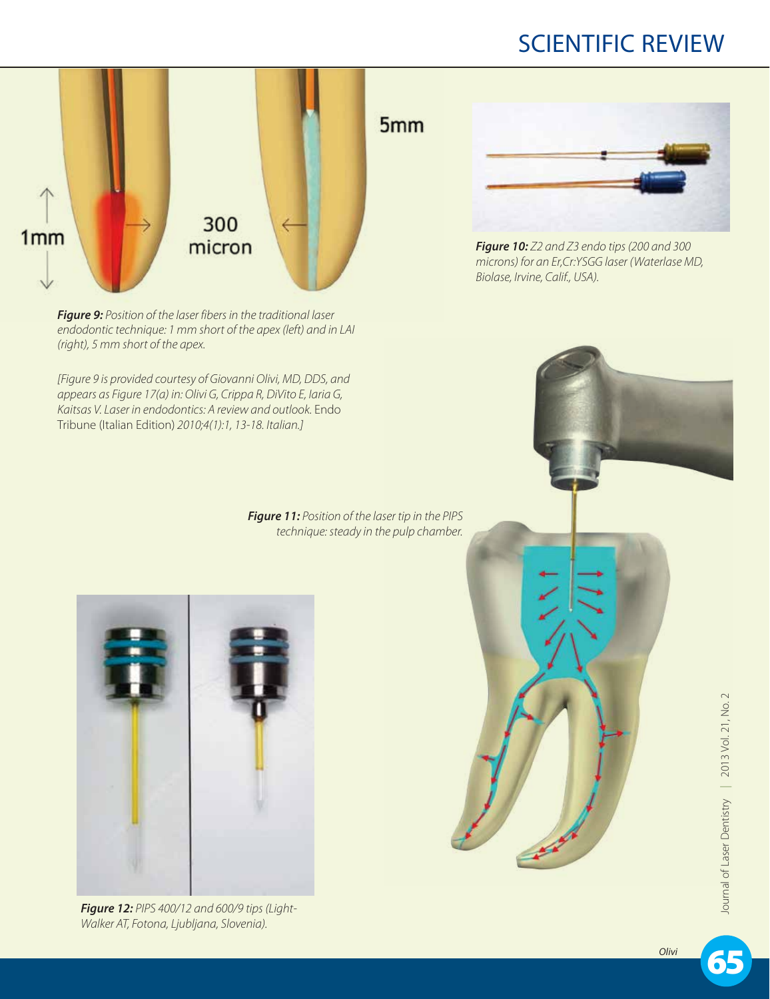

*Figure 9: Position of the laser fibers in the traditional laser endodontic technique: 1 mm short of the apex (left) and in LAI (right), 5 mm short of the apex.*

*[Figure 9 is provided courtesy of Giovanni Olivi, MD, DDS, and appears as Figure 17(a) in: Olivi G, Crippa R, DiVito E, Iaria G, Kaitsas V. Laser in endodontics: A review and outlook.* Endo Tribune (Italian Edition) *2010;4(1):1, 13-18. Italian.]*

> *Figure 11: Position of the laser tip in the PIPS technique: steady in the pulp chamber.*



*Figure 12: PIPS 400/12 and 600/9 tips (Light-Walker AT, Fotona, Ljubljana, Slovenia).*



*Figure 10: Z2 and Z3 endo tips (200 and 300 microns) for an Er,Cr:YSGG laser (Waterlase MD, Biolase, Irvine, Calif., USA).*



65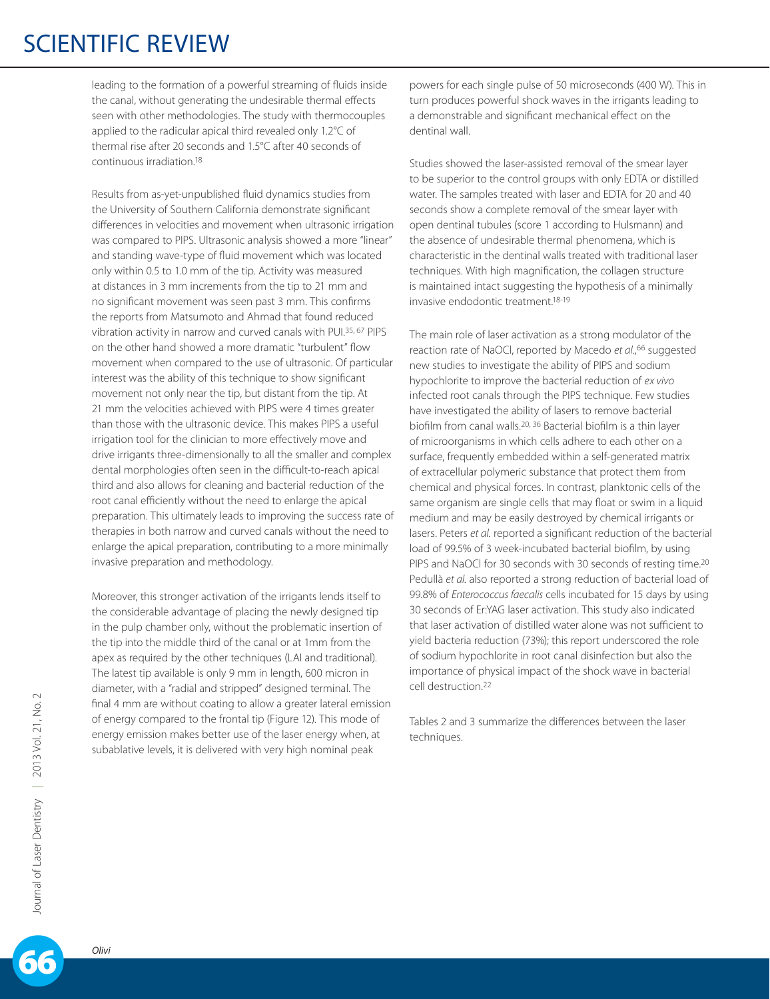leading to the formation of a powerful streaming of fluids inside the canal, without generating the undesirable thermal effects seen with other methodologies. The study with thermocouples applied to the radicular apical third revealed only 1.2°C of thermal rise after 20 seconds and 1.5°C after 40 seconds of continuous irradiation.18

Results from as-yet-unpublished fluid dynamics studies from the University of Southern California demonstrate significant differences in velocities and movement when ultrasonic irrigation was compared to PIPS. Ultrasonic analysis showed a more "linear" and standing wave-type of fluid movement which was located only within 0.5 to 1.0 mm of the tip. Activity was measured at distances in 3 mm increments from the tip to 21 mm and no significant movement was seen past 3 mm. This confirms the reports from Matsumoto and Ahmad that found reduced vibration activity in narrow and curved canals with PUI.35, 67 PIPS on the other hand showed a more dramatic "turbulent" flow movement when compared to the use of ultrasonic. Of particular interest was the ability of this technique to show significant movement not only near the tip, but distant from the tip. At 21 mm the velocities achieved with PIPS were 4 times greater than those with the ultrasonic device. This makes PIPS a useful irrigation tool for the clinician to more effectively move and drive irrigants three-dimensionally to all the smaller and complex dental morphologies often seen in the difficult-to-reach apical third and also allows for cleaning and bacterial reduction of the root canal efficiently without the need to enlarge the apical preparation. This ultimately leads to improving the success rate of therapies in both narrow and curved canals without the need to enlarge the apical preparation, contributing to a more minimally invasive preparation and methodology.

Moreover, this stronger activation of the irrigants lends itself to the considerable advantage of placing the newly designed tip in the pulp chamber only, without the problematic insertion of the tip into the middle third of the canal or at 1mm from the apex as required by the other techniques (LAI and traditional). The latest tip available is only 9 mm in length, 600 micron in diameter, with a "radial and stripped" designed terminal. The final 4 mm are without coating to allow a greater lateral emission of energy compared to the frontal tip (Figure 12). This mode of energy emission makes better use of the laser energy when, at subablative levels, it is delivered with very high nominal peak

powers for each single pulse of 50 microseconds (400 W). This in turn produces powerful shock waves in the irrigants leading to a demonstrable and significant mechanical effect on the dentinal wall.

Studies showed the laser-assisted removal of the smear layer to be superior to the control groups with only EDTA or distilled water. The samples treated with laser and EDTA for 20 and 40 seconds show a complete removal of the smear layer with open dentinal tubules (score 1 according to Hulsmann) and the absence of undesirable thermal phenomena, which is characteristic in the dentinal walls treated with traditional laser techniques. With high magnification, the collagen structure is maintained intact suggesting the hypothesis of a minimally invasive endodontic treatment.18-19

The main role of laser activation as a strong modulator of the reaction rate of NaOCl, reported by Macedo *et al.*, 66 suggested new studies to investigate the ability of PIPS and sodium hypochlorite to improve the bacterial reduction of *ex vivo* infected root canals through the PIPS technique. Few studies have investigated the ability of lasers to remove bacterial biofilm from canal walls.20, 36 Bacterial biofilm is a thin layer of microorganisms in which cells adhere to each other on a surface, frequently embedded within a self-generated matrix of extracellular polymeric substance that protect them from chemical and physical forces. In contrast, planktonic cells of the same organism are single cells that may float or swim in a liquid medium and may be easily destroyed by chemical irrigants or lasers. Peters *et al.* reported a significant reduction of the bacterial load of 99.5% of 3 week-incubated bacterial biofilm, by using PIPS and NaOCl for 30 seconds with 30 seconds of resting time.<sup>20</sup> Pedullà *et al.* also reported a strong reduction of bacterial load of 99.8% of *Enterococcus faecalis* cells incubated for 15 days by using 30 seconds of Er:YAG laser activation. This study also indicated that laser activation of distilled water alone was not sufficient to yield bacteria reduction (73%); this report underscored the role of sodium hypochlorite in root canal disinfection but also the importance of physical impact of the shock wave in bacterial cell destruction.22

Tables 2 and 3 summarize the differences between the laser techniques.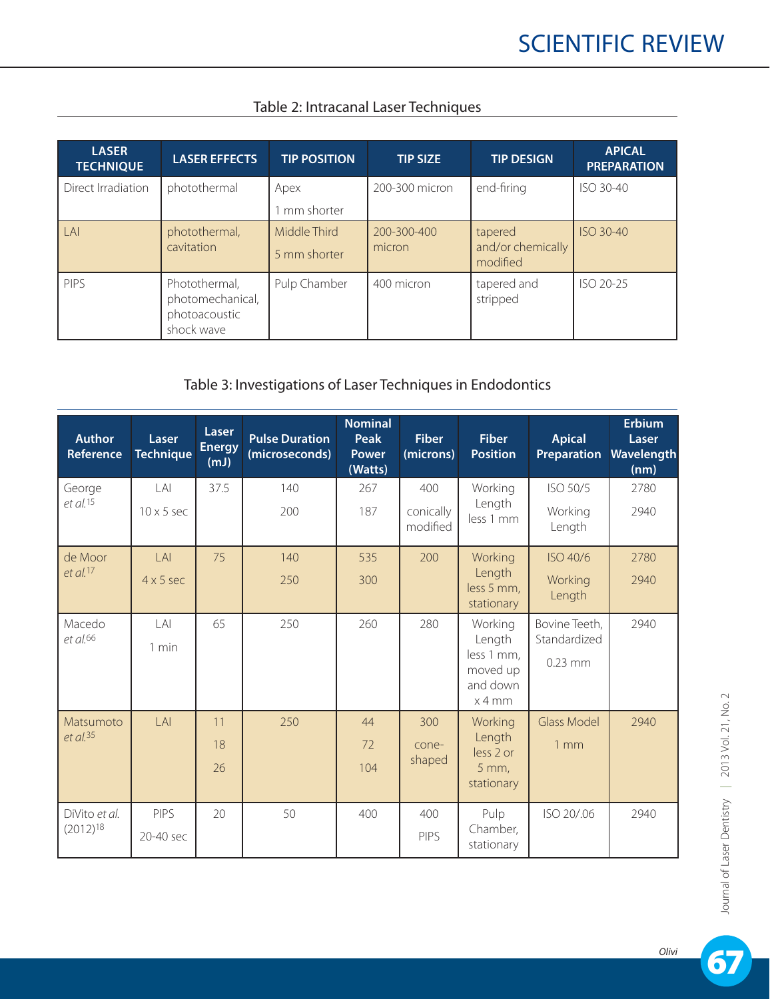| <b>LASER</b><br><b>TECHNIQUE</b> | <b>LASER EFFECTS</b>                                             | <b>TIP POSITION</b>          | TIP SIZE              | <b>TIP DESIGN</b>                        | <b>APICAL</b><br><b>PREPARATION</b> |
|----------------------------------|------------------------------------------------------------------|------------------------------|-----------------------|------------------------------------------|-------------------------------------|
| Direct Irradiation               | photothermal                                                     | Apex<br>mm shorter           | 200-300 micron        | end-firing                               | ISO 30-40                           |
| LAI                              | photothermal,<br>cavitation                                      | Middle Third<br>5 mm shorter | 200-300-400<br>micron | tapered<br>and/or chemically<br>modified | <b>ISO 30-40</b>                    |
| <b>PIPS</b>                      | Photothermal,<br>photomechanical,<br>photoacoustic<br>shock wave | Pulp Chamber                 | 400 micron            | tapered and<br>stripped                  | ISO 20-25                           |

### Table 2: Intracanal Laser Techniques

### Table 3: Investigations of Laser Techniques in Endodontics

| <b>Author</b><br><b>Reference</b> | Laser<br><b>Technique</b>                | Laser<br><b>Energy</b><br>(mJ) | <b>Pulse Duration</b><br>(microseconds) | <b>Nominal</b><br>Peak<br><b>Power</b><br>(Watts) | <b>Fiber</b><br>(microns)    | <b>Fiber</b><br><b>Position</b>                                   | <b>Apical</b><br><b>Preparation</b>        | <b>Erbium</b><br>Laser<br>Wavelength<br>(nm) |
|-----------------------------------|------------------------------------------|--------------------------------|-----------------------------------------|---------------------------------------------------|------------------------------|-------------------------------------------------------------------|--------------------------------------------|----------------------------------------------|
| George<br>$et$ al. $15$           | $\lfloor A \rfloor$<br>$10 \times 5$ sec | 37.5                           | 140<br>200                              | 267<br>187                                        | 400<br>conically<br>modified | Working<br>Length<br>less 1 mm                                    | ISO 50/5<br>Working<br>Length              | 2780<br>2940                                 |
| de Moor<br>$et$ al. $17$          | LAI<br>$4 \times 5$ sec                  | 75                             | 140<br>250                              | 535<br>300                                        | 200                          | Working<br>Length<br>less 5 mm,<br>stationary                     | ISO 40/6<br>Working<br>Length              | 2780<br>2940                                 |
| Macedo<br>et al. <sup>66</sup>    | A <br>$1$ min                            | 65                             | 250                                     | 260                                               | 280                          | Working<br>Length<br>less 1 mm,<br>moved up<br>and down<br>x 4 mm | Bovine Teeth,<br>Standardized<br>$0.23$ mm | 2940                                         |
| Matsumoto<br>$et$ al. 35          | LAI                                      | 11<br>18<br>26                 | 250                                     | 44<br>72<br>104                                   | 300<br>cone-<br>shaped       | Working<br>Length<br>less 2 or<br>$5$ mm,<br>stationary           | <b>Glass Model</b><br>1 <sub>mm</sub>      | 2940                                         |
| DiVito et al.<br>$(2012)^{18}$    | PIPS<br>20-40 sec                        | 20                             | 50                                      | 400                                               | 400<br><b>PIPS</b>           | Pulp<br>Chamber,<br>stationary                                    | ISO 20/.06                                 | 2940                                         |

67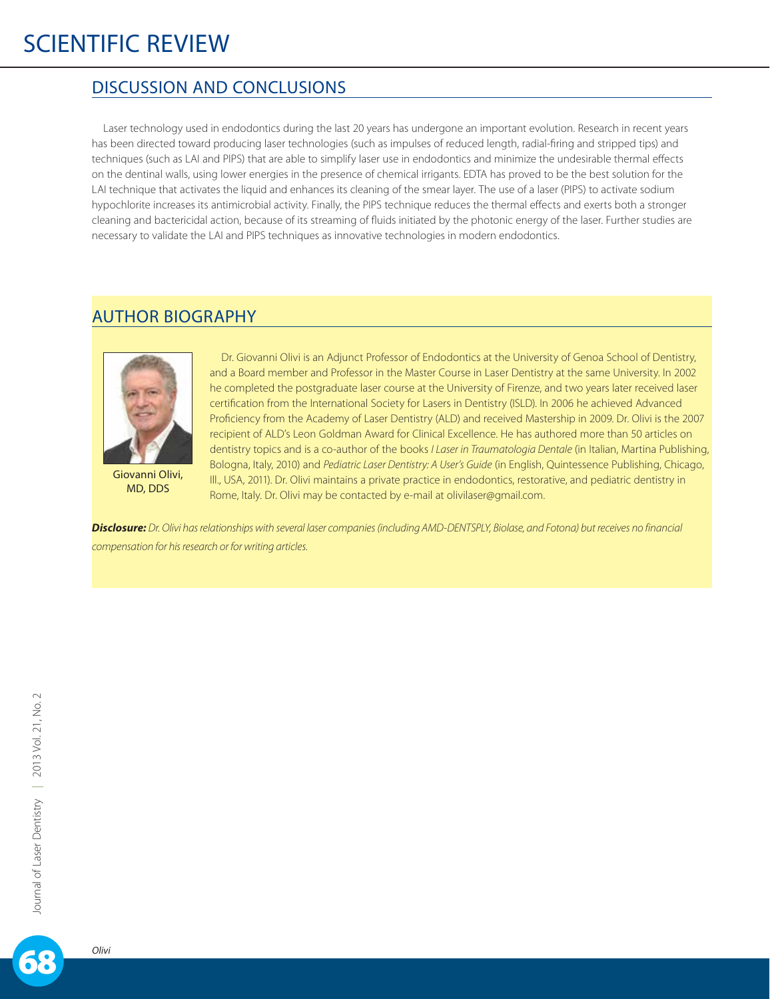### DISCUSSION AND CONCLUSIONS

Laser technology used in endodontics during the last 20 years has undergone an important evolution. Research in recent years has been directed toward producing laser technologies (such as impulses of reduced length, radial-firing and stripped tips) and techniques (such as LAI and PIPS) that are able to simplify laser use in endodontics and minimize the undesirable thermal effects on the dentinal walls, using lower energies in the presence of chemical irrigants. EDTA has proved to be the best solution for the LAI technique that activates the liquid and enhances its cleaning of the smear layer. The use of a laser (PIPS) to activate sodium hypochlorite increases its antimicrobial activity. Finally, the PIPS technique reduces the thermal effects and exerts both a stronger cleaning and bactericidal action, because of its streaming of fluids initiated by the photonic energy of the laser. Further studies are necessary to validate the LAI and PIPS techniques as innovative technologies in modern endodontics.

### AUTHOR BIOGRAPHY



Giovanni Olivi, MD, DDS

Dr. Giovanni Olivi is an Adjunct Professor of Endodontics at the University of Genoa School of Dentistry, and a Board member and Professor in the Master Course in Laser Dentistry at the same University. In 2002 he completed the postgraduate laser course at the University of Firenze, and two years later received laser certification from the International Society for Lasers in Dentistry (ISLD). In 2006 he achieved Advanced Proficiency from the Academy of Laser Dentistry (ALD) and received Mastership in 2009. Dr. Olivi is the 2007 recipient of ALD's Leon Goldman Award for Clinical Excellence. He has authored more than 50 articles on dentistry topics and is a co-author of the books *I Laser in Traumatologia Dentale* (in Italian, Martina Publishing, Bologna, Italy, 2010) and *Pediatric Laser Dentistry: A User's Guide* (in English, Quintessence Publishing, Chicago, Ill., USA, 2011). Dr. Olivi maintains a private practice in endodontics, restorative, and pediatric dentistry in Rome, Italy. Dr. Olivi may be contacted by e-mail at olivilaser@gmail.com.

*Disclosure: Dr. Olivi has relationships with several laser companies (including AMD-DENTSPLY, Biolase, and Fotona) but receives no financial compensation for his research or for writing articles.*

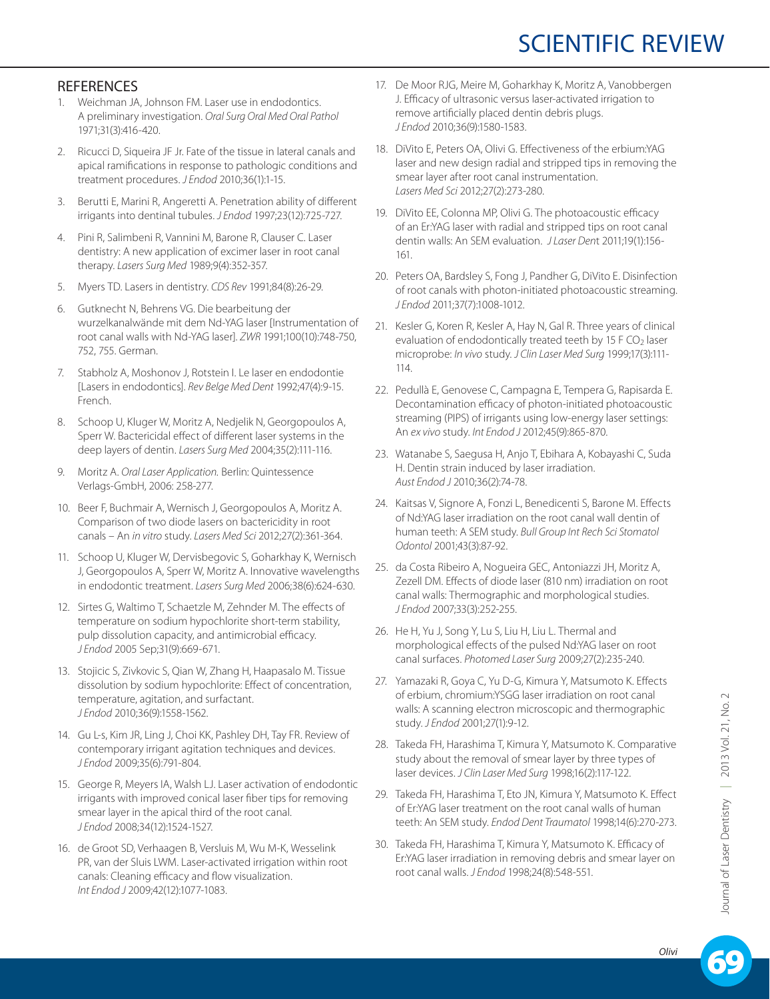### **REFERENCES**

- 1. Weichman JA, Johnson FM. Laser use in endodontics. A preliminary investigation. *Oral Surg Oral Med Oral Pathol* 1971;31(3):416-420.
- 2. Ricucci D, Siqueira JF Jr. Fate of the tissue in lateral canals and apical ramifications in response to pathologic conditions and treatment procedures. *J Endod* 2010;36(1):1-15.
- 3. Berutti E, Marini R, Angeretti A. Penetration ability of different irrigants into dentinal tubules. *J Endod* 1997;23(12):725-727.
- 4. Pini R, Salimbeni R, Vannini M, Barone R, Clauser C. Laser dentistry: A new application of excimer laser in root canal therapy. *Lasers Surg Med* 1989;9(4):352-357.
- 5. Myers TD. Lasers in dentistry. *CDS Rev* 1991;84(8):26-29.
- 6. Gutknecht N, Behrens VG. Die bearbeitung der wurzelkanalwände mit dem Nd-YAG laser [Instrumentation of root canal walls with Nd-YAG laser]. *ZWR* 1991;100(10):748-750, 752, 755. German.
- 7. Stabholz A, Moshonov J, Rotstein I. Le laser en endodontie [Lasers in endodontics]. *Rev Belge Med Dent* 1992;47(4):9-15. French.
- 8. Schoop U, Kluger W, Moritz A, Nedjelik N, Georgopoulos A, Sperr W. Bactericidal effect of different laser systems in the deep layers of dentin. *Lasers Surg Med* 2004;35(2):111-116.
- 9. Moritz A. *Oral Laser Application.* Berlin: Quintessence Verlags-GmbH, 2006: 258-277.
- 10. Beer F, Buchmair A, Wernisch J, Georgopoulos A, Moritz A. Comparison of two diode lasers on bactericidity in root canals – An *in vitro* study. *Lasers Med Sci* 2012;27(2):361-364.
- 11. Schoop U, Kluger W, Dervisbegovic S, Goharkhay K, Wernisch J, Georgopoulos A, Sperr W, Moritz A. Innovative wavelengths in endodontic treatment. *Lasers Surg Med* 2006;38(6):624-630.
- 12. Sirtes G, Waltimo T, Schaetzle M, Zehnder M. The effects of temperature on sodium hypochlorite short-term stability, pulp dissolution capacity, and antimicrobial efficacy. *J Endod* 2005 Sep;31(9):669-671.
- 13. Stojicic S, Zivkovic S, Qian W, Zhang H, Haapasalo M. Tissue dissolution by sodium hypochlorite: Effect of concentration, temperature, agitation, and surfactant. *J Endod* 2010;36(9):1558-1562.
- 14. Gu L-s, Kim JR, Ling J, Choi KK, Pashley DH, Tay FR. Review of contemporary irrigant agitation techniques and devices. *J Endod* 2009;35(6):791-804.
- 15. George R, Meyers IA, Walsh LJ. Laser activation of endodontic irrigants with improved conical laser fiber tips for removing smear layer in the apical third of the root canal. *J Endod* 2008;34(12):1524-1527.
- 16. de Groot SD, Verhaagen B, Versluis M, Wu M-K, Wesselink PR, van der Sluis LWM. Laser-activated irrigation within root canals: Cleaning efficacy and flow visualization. *Int Endod J* 2009;42(12):1077-1083.
- 17. De Moor RJG, Meire M, Goharkhay K, Moritz A, Vanobbergen J. Efficacy of ultrasonic versus laser-activated irrigation to remove artificially placed dentin debris plugs. *J Endod* 2010;36(9):1580-1583.
- 18. DiVito E, Peters OA, Olivi G. Effectiveness of the erbium:YAG laser and new design radial and stripped tips in removing the smear layer after root canal instrumentation. *Lasers Med Sci* 2012;27(2):273-280.
- 19. DiVito EE, Colonna MP, Olivi G. The photoacoustic efficacy of an Er:YAG laser with radial and stripped tips on root canal dentin walls: An SEM evaluation. *J Laser Den*t 2011;19(1):156- 161.
- 20. Peters OA, Bardsley S, Fong J, Pandher G, DiVito E. Disinfection of root canals with photon-initiated photoacoustic streaming. *J Endod* 2011;37(7):1008-1012.
- 21. Kesler G, Koren R, Kesler A, Hay N, Gal R. Three years of clinical evaluation of endodontically treated teeth by 15 F  $CO<sub>2</sub>$  laser microprobe: *In vivo* study. *J Clin Laser Med Surg* 1999;17(3):111- 114.
- 22. Pedullà E, Genovese C, Campagna E, Tempera G, Rapisarda E. Decontamination efficacy of photon-initiated photoacoustic streaming (PIPS) of irrigants using low-energy laser settings: An *ex vivo* study. *Int Endod J* 2012;45(9):865-870.
- 23. Watanabe S, Saegusa H, Anjo T, Ebihara A, Kobayashi C, Suda H. Dentin strain induced by laser irradiation. *Aust Endod J* 2010;36(2):74-78.
- 24. Kaitsas V, Signore A, Fonzi L, Benedicenti S, Barone M. Effects of Nd:YAG laser irradiation on the root canal wall dentin of human teeth: A SEM study. *Bull Group Int Rech Sci Stomatol Odontol* 2001;43(3):87-92.
- 25. da Costa Ribeiro A, Nogueira GEC, Antoniazzi JH, Moritz A, Zezell DM. Effects of diode laser (810 nm) irradiation on root canal walls: Thermographic and morphological studies. *J Endod* 2007;33(3):252-255.
- 26. He H, Yu J, Song Y, Lu S, Liu H, Liu L. Thermal and morphological effects of the pulsed Nd:YAG laser on root canal surfaces. *Photomed Laser Surg* 2009;27(2):235-240.
- 27. Yamazaki R, Goya C, Yu D-G, Kimura Y, Matsumoto K. Effects of erbium, chromium:YSGG laser irradiation on root canal walls: A scanning electron microscopic and thermographic study. *J Endod* 2001;27(1):9-12.
- 28. Takeda FH, Harashima T, Kimura Y, Matsumoto K. Comparative study about the removal of smear layer by three types of laser devices. *J Clin Laser Med Surg* 1998;16(2):117-122.
- 29. Takeda FH, Harashima T, Eto JN, Kimura Y, Matsumoto K. Effect of Er:YAG laser treatment on the root canal walls of human teeth: An SEM study. *Endod Dent Traumatol* 1998;14(6):270-273.
- 30. Takeda FH, Harashima T, Kimura Y, Matsumoto K. Efficacy of Er:YAG laser irradiation in removing debris and smear layer on root canal walls. *J Endod* 1998;24(8):548-551.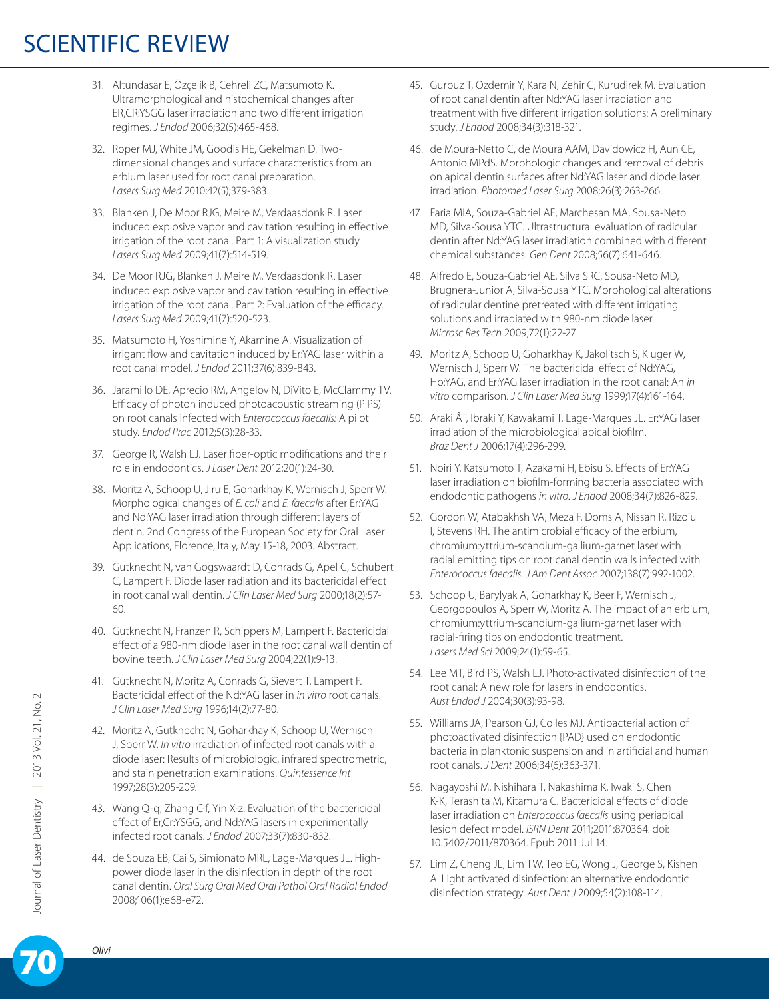- 31. Altundasar E, Özçelik B, Cehreli ZC, Matsumoto K. Ultramorphological and histochemical changes after ER,CR:YSGG laser irradiation and two different irrigation regimes. *J Endod* 2006;32(5):465-468.
- 32. Roper MJ, White JM, Goodis HE, Gekelman D. Twodimensional changes and surface characteristics from an erbium laser used for root canal preparation. *Lasers Surg Med* 2010;42(5);379-383.
- 33. Blanken J, De Moor RJG, Meire M, Verdaasdonk R. Laser induced explosive vapor and cavitation resulting in effective irrigation of the root canal. Part 1: A visualization study. *Lasers Surg Med* 2009;41(7):514-519.
- 34. De Moor RJG, Blanken J, Meire M, Verdaasdonk R. Laser induced explosive vapor and cavitation resulting in effective irrigation of the root canal. Part 2: Evaluation of the efficacy. *Lasers Surg Med* 2009;41(7):520-523.
- 35. Matsumoto H, Yoshimine Y, Akamine A. Visualization of irrigant flow and cavitation induced by Er:YAG laser within a root canal model. *J Endod* 2011;37(6):839-843.
- 36. Jaramillo DE, Aprecio RM, Angelov N, DiVito E, McClammy TV. Efficacy of photon induced photoacoustic streaming (PIPS) on root canals infected with *Enterococcus faecalis:* A pilot study. *Endod Prac* 2012;5(3):28-33.
- 37. George R, Walsh LJ. Laser fiber-optic modifications and their role in endodontics. *J Laser Dent* 2012;20(1):24-30.
- 38. Moritz A, Schoop U, Jiru E, Goharkhay K, Wernisch J, Sperr W. Morphological changes of *E. coli* and *E. faecalis* after Er:YAG and Nd:YAG laser irradiation through different layers of dentin. 2nd Congress of the European Society for Oral Laser Applications, Florence, Italy, May 15-18, 2003. Abstract.
- 39. Gutknecht N, van Gogswaardt D, Conrads G, Apel C, Schubert C, Lampert F. Diode laser radiation and its bactericidal effect in root canal wall dentin. *J Clin Laser Med Surg* 2000;18(2):57- 60.
- 40. Gutknecht N, Franzen R, Schippers M, Lampert F. Bactericidal effect of a 980-nm diode laser in the root canal wall dentin of bovine teeth. *J Clin Laser Med Surg* 2004;22(1):9-13.
- 41. Gutknecht N, Moritz A, Conrads G, Sievert T, Lampert F. Bactericidal effect of the Nd:YAG laser in *in vitro* root canals. *J Clin Laser Med Surg* 1996;14(2):77-80.
- 42. Moritz A, Gutknecht N, Goharkhay K, Schoop U, Wernisch J, Sperr W. *In vitro* irradiation of infected root canals with a diode laser: Results of microbiologic, infrared spectrometric, and stain penetration examinations. *Quintessence Int* 1997;28(3):205-209.
- 43. Wang Q-q, Zhang C-f, Yin X-z. Evaluation of the bactericidal effect of Er,Cr:YSGG, and Nd:YAG lasers in experimentally infected root canals. *J Endod* 2007;33(7):830-832.
- 44. de Souza EB, Cai S, Simionato MRL, Lage-Marques JL. Highpower diode laser in the disinfection in depth of the root canal dentin. *Oral Surg Oral Med Oral Pathol Oral Radiol Endod* 2008;106(1):e68-e72.
- 45. Gurbuz T, Ozdemir Y, Kara N, Zehir C, Kurudirek M. Evaluation of root canal dentin after Nd:YAG laser irradiation and treatment with five different irrigation solutions: A preliminary study. *J Endod* 2008;34(3):318-321.
- 46. de Moura-Netto C, de Moura AAM, Davidowicz H, Aun CE, Antonio MPdS. Morphologic changes and removal of debris on apical dentin surfaces after Nd:YAG laser and diode laser irradiation. *Photomed Laser Surg* 2008;26(3):263-266.
- 47. Faria MIA, Souza-Gabriel AE, Marchesan MA, Sousa-Neto MD, Silva-Sousa YTC. Ultrastructural evaluation of radicular dentin after Nd:YAG laser irradiation combined with different chemical substances. *Gen Dent* 2008;56(7):641-646.
- 48. Alfredo E, Souza-Gabriel AE, Silva SRC, Sousa-Neto MD, Brugnera-Junior A, Silva-Sousa YTC. Morphological alterations of radicular dentine pretreated with different irrigating solutions and irradiated with 980-nm diode laser. *Microsc Res Tech* 2009;72(1):22-27.
- 49. Moritz A, Schoop U, Goharkhay K, Jakolitsch S, Kluger W, Wernisch J, Sperr W. The bactericidal effect of Nd:YAG, Ho:YAG, and Er:YAG laser irradiation in the root canal: An *in vitro* comparison. *J Clin Laser Med Surg* 1999;17(4):161-164.
- 50. Araki ÂT, Ibraki Y, Kawakami T, Lage-Marques JL. Er:YAG laser irradiation of the microbiological apical biofilm. *Braz Dent J* 2006;17(4):296-299.
- 51. Noiri Y, Katsumoto T, Azakami H, Ebisu S. Effects of Er:YAG laser irradiation on biofilm-forming bacteria associated with endodontic pathogens *in vitro. J Endod* 2008;34(7):826-829.
- 52. Gordon W, Atabakhsh VA, Meza F, Doms A, Nissan R, Rizoiu I, Stevens RH. The antimicrobial efficacy of the erbium, chromium:yttrium-scandium-gallium-garnet laser with radial emitting tips on root canal dentin walls infected with *Enterococcus faecalis. J Am Dent Assoc* 2007;138(7):992-1002.
- 53. Schoop U, Barylyak A, Goharkhay K, Beer F, Wernisch J, Georgopoulos A, Sperr W, Moritz A. The impact of an erbium, chromium:yttrium-scandium-gallium-garnet laser with radial-firing tips on endodontic treatment. *Lasers Med Sci* 2009;24(1):59-65.
- 54. Lee MT, Bird PS, Walsh LJ. Photo-activated disinfection of the root canal: A new role for lasers in endodontics. *Aust Endod J* 2004;30(3):93-98.
- 55. Williams JA, Pearson GJ, Colles MJ. Antibacterial action of photoactivated disinfection {PAD} used on endodontic bacteria in planktonic suspension and in artificial and human root canals. *J Dent* 2006;34(6):363-371.
- 56. Nagayoshi M, Nishihara T, Nakashima K, Iwaki S, Chen K-K, Terashita M, Kitamura C. Bactericidal effects of diode laser irradiation on *Enterococcus faecalis* using periapical lesion defect model. *ISRN Dent* 2011;2011:870364. doi: 10.5402/2011/870364. Epub 2011 Jul 14.
- 57. Lim Z, Cheng JL, Lim TW, Teo EG, Wong J, George S, Kishen A. Light activated disinfection: an alternative endodontic disinfection strategy. *Aust Dent J* 2009;54(2):108-114.

*Olivi* 70